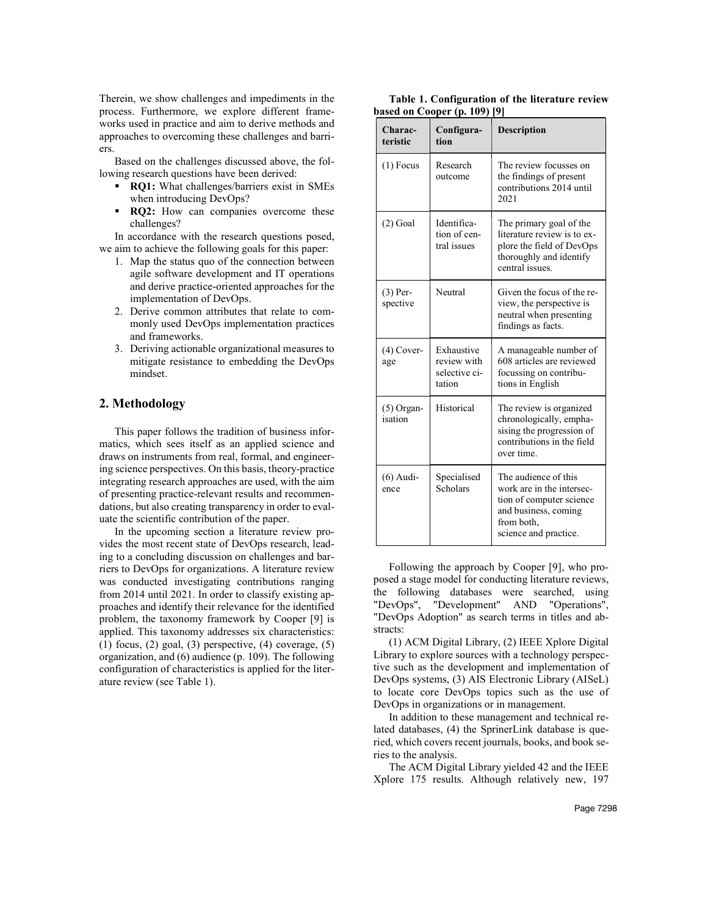Therein, we show challenges and impediments in the process. Furthermore, we explore different frameworks used in practice and aim to derive methods and approaches to overcoming these challenges and barriers.

Based on the challenges discussed above, the following research questions have been derived:

- **RQ1:** What challenges/barriers exist in SMEs when introducing DevOps?
- **RQ2:** How can companies overcome these challenges?

In accordance with the research questions posed, we aim to achieve the following goals for this paper:

- 1. Map the status quo of the connection between agile software development and IT operations and derive practice-oriented approaches for the implementation of DevOps.
- 2. Derive common attributes that relate to commonly used DevOps implementation practices and frameworks.
- 3. Deriving actionable organizational measures to mitigate resistance to embedding the DevOps mindset.

# **2. Methodology**

This paper follows the tradition of business informatics, which sees itself as an applied science and draws on instruments from real, formal, and engineering science perspectives. On this basis, theory-practice integrating research approaches are used, with the aim of presenting practice-relevant results and recommendations, but also creating transparency in order to evaluate the scientific contribution of the paper.

In the upcoming section a literature review provides the most recent state of DevOps research, leading to a concluding discussion on challenges and barriers to DevOps for organizations. A literature review was conducted investigating contributions ranging from 2014 until 2021. In order to classify existing approaches and identify their relevance for the identified problem, the taxonomy framework by Cooper [9] is applied. This taxonomy addresses six characteristics: (1) focus,  $(2)$  goal,  $(3)$  perspective,  $(4)$  coverage,  $(5)$ organization, and (6) audience (p. 109). The following configuration of characteristics is applied for the literature review (see Table 1).

**Table 1. Configuration of the literature review based on Cooper (p. 109) [9]** 

| Charac-<br>teristic     | Configura-<br>tion                                   | <b>Description</b>                                                                                                                           |
|-------------------------|------------------------------------------------------|----------------------------------------------------------------------------------------------------------------------------------------------|
| $(1)$ Focus             | Research<br>outcome                                  | The review focusses on<br>the findings of present<br>contributions 2014 until<br>2021                                                        |
| $(2)$ Goal              | Identifica-<br>tion of cen-<br>tral issues           | The primary goal of the<br>literature review is to ex-<br>plore the field of DevOps<br>thoroughly and identify<br>central issues.            |
| $(3)$ Per-<br>spective  | Neutral                                              | Given the focus of the re-<br>view, the perspective is<br>neutral when presenting<br>findings as facts.                                      |
| $(4)$ Cover-<br>age     | Exhaustive<br>review with<br>selective ci-<br>tation | A manageable number of<br>608 articles are reviewed<br>focussing on contribu-<br>tions in English                                            |
| $(5)$ Organ-<br>isation | Historical                                           | The review is organized<br>chronologically, empha-<br>sising the progression of<br>contributions in the field<br>over time.                  |
| $(6)$ Audi-<br>ence     | Specialised<br>Scholars                              | The audience of this<br>work are in the intersec-<br>tion of computer science<br>and business, coming<br>from both,<br>science and practice. |

Following the approach by Cooper [9], who proposed a stage model for conducting literature reviews, the following databases were searched, using "DevOps", "Development" AND "Operations", "DevOps Adoption" as search terms in titles and abstracts:

(1) ACM Digital Library, (2) IEEE Xplore Digital Library to explore sources with a technology perspective such as the development and implementation of DevOps systems, (3) AIS Electronic Library (AISeL) to locate core DevOps topics such as the use of DevOps in organizations or in management.

In addition to these management and technical related databases, (4) the SprinerLink database is queried, which covers recent journals, books, and book series to the analysis.

The ACM Digital Library yielded 42 and the IEEE Xplore 175 results. Although relatively new, 197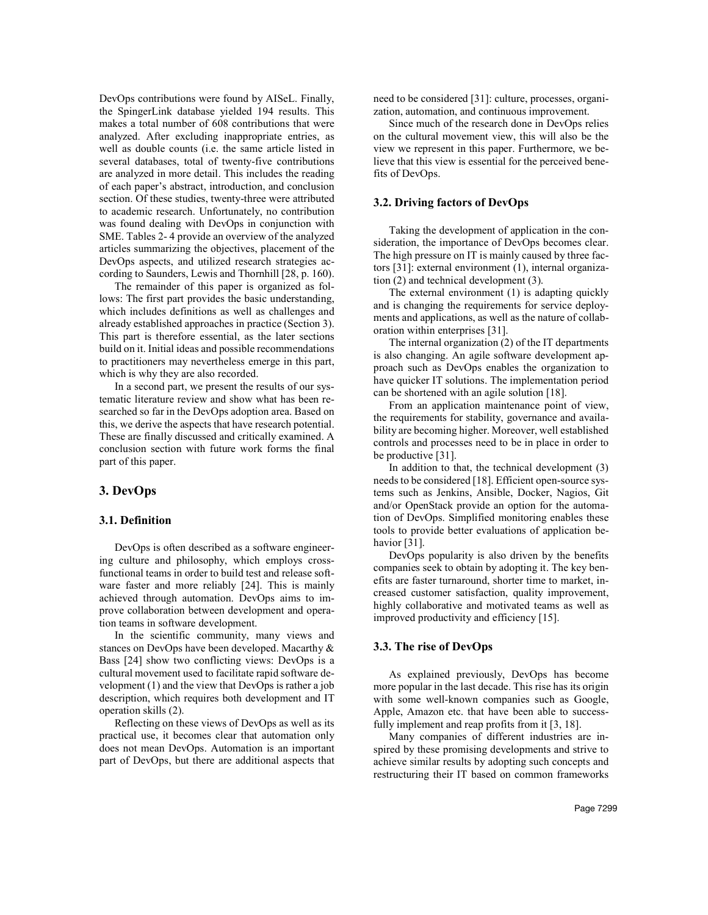DevOps contributions were found by AISeL. Finally, the SpingerLink database yielded 194 results. This makes a total number of 608 contributions that were analyzed. After excluding inappropriate entries, as well as double counts (i.e. the same article listed in several databases, total of twenty-five contributions are analyzed in more detail. This includes the reading of each paper's abstract, introduction, and conclusion section. Of these studies, twenty-three were attributed to academic research. Unfortunately, no contribution was found dealing with DevOps in conjunction with SME. Tables 2- 4 provide an overview of the analyzed articles summarizing the objectives, placement of the DevOps aspects, and utilized research strategies according to Saunders, Lewis and Thornhill [28, p. 160).

The remainder of this paper is organized as follows: The first part provides the basic understanding, which includes definitions as well as challenges and already established approaches in practice (Section 3). This part is therefore essential, as the later sections build on it. Initial ideas and possible recommendations to practitioners may nevertheless emerge in this part, which is why they are also recorded.

In a second part, we present the results of our systematic literature review and show what has been researched so far in the DevOps adoption area. Based on this, we derive the aspects that have research potential. These are finally discussed and critically examined. A conclusion section with future work forms the final part of this paper.

## **3. DevOps**

#### **3.1. Definition**

DevOps is often described as a software engineering culture and philosophy, which employs crossfunctional teams in order to build test and release software faster and more reliably [24]. This is mainly achieved through automation. DevOps aims to improve collaboration between development and operation teams in software development.

In the scientific community, many views and stances on DevOps have been developed. Macarthy & Bass [24] show two conflicting views: DevOps is a cultural movement used to facilitate rapid software development (1) and the view that DevOps is rather a job description, which requires both development and IT operation skills (2).

Reflecting on these views of DevOps as well as its practical use, it becomes clear that automation only does not mean DevOps. Automation is an important part of DevOps, but there are additional aspects that

need to be considered [31]: culture, processes, organization, automation, and continuous improvement.

Since much of the research done in DevOps relies on the cultural movement view, this will also be the view we represent in this paper. Furthermore, we believe that this view is essential for the perceived benefits of DevOps.

### **3.2. Driving factors of DevOps**

Taking the development of application in the consideration, the importance of DevOps becomes clear. The high pressure on IT is mainly caused by three factors [31]: external environment (1), internal organization (2) and technical development (3).

The external environment (1) is adapting quickly and is changing the requirements for service deployments and applications, as well as the nature of collaboration within enterprises [31].

The internal organization (2) of the IT departments is also changing. An agile software development approach such as DevOps enables the organization to have quicker IT solutions. The implementation period can be shortened with an agile solution [18].

From an application maintenance point of view, the requirements for stability, governance and availability are becoming higher. Moreover, well established controls and processes need to be in place in order to be productive [31].

In addition to that, the technical development (3) needs to be considered [18]. Efficient open-source systems such as Jenkins, Ansible, Docker, Nagios, Git and/or OpenStack provide an option for the automation of DevOps. Simplified monitoring enables these tools to provide better evaluations of application behavior [31].

DevOps popularity is also driven by the benefits companies seek to obtain by adopting it. The key benefits are faster turnaround, shorter time to market, increased customer satisfaction, quality improvement, highly collaborative and motivated teams as well as improved productivity and efficiency [15].

#### **3.3. The rise of DevOps**

As explained previously, DevOps has become more popular in the last decade. This rise has its origin with some well-known companies such as Google, Apple, Amazon etc. that have been able to successfully implement and reap profits from it [3, 18].

Many companies of different industries are inspired by these promising developments and strive to achieve similar results by adopting such concepts and restructuring their IT based on common frameworks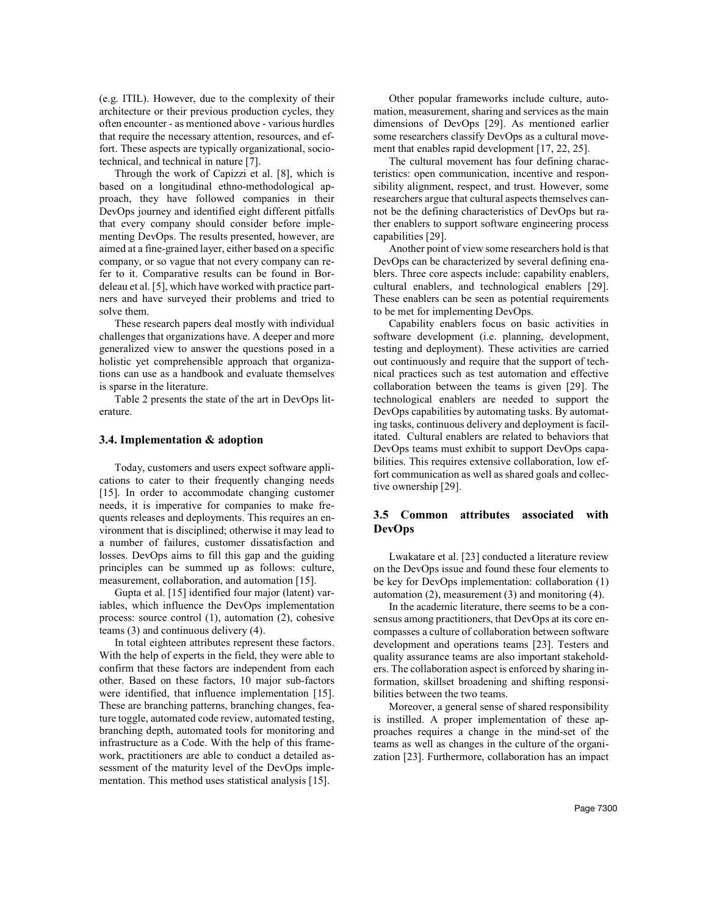(e.g. ITIL). However, due to the complexity of their architecture or their previous production cycles, they often encounter - as mentioned above - various hurdles that require the necessary attention, resources, and effort. These aspects are typically organizational, sociotechnical, and technical in nature [7].

Through the work of Capizzi et al. [8], which is based on a longitudinal ethno-methodological approach, they have followed companies in their DevOps journey and identified eight different pitfalls that every company should consider before implementing DevOps. The results presented, however, are aimed at a fine-grained layer, either based on a specific company, or so vague that not every company can refer to it. Comparative results can be found in Bordeleau et al. [5], which have worked with practice partners and have surveyed their problems and tried to solve them.

These research papers deal mostly with individual challenges that organizations have. A deeper and more generalized view to answer the questions posed in a holistic yet comprehensible approach that organizations can use as a handbook and evaluate themselves is sparse in the literature.

Table 2 presents the state of the art in DevOps literature.

#### **3.4. Implementation & adoption**

Today, customers and users expect software applications to cater to their frequently changing needs [15]. In order to accommodate changing customer needs, it is imperative for companies to make frequents releases and deployments. This requires an environment that is disciplined; otherwise it may lead to a number of failures, customer dissatisfaction and losses. DevOps aims to fill this gap and the guiding principles can be summed up as follows: culture, measurement, collaboration, and automation [15].

Gupta et al. [15] identified four major (latent) variables, which influence the DevOps implementation process: source control (1), automation (2), cohesive teams (3) and continuous delivery (4).

In total eighteen attributes represent these factors. With the help of experts in the field, they were able to confirm that these factors are independent from each other. Based on these factors, 10 major sub-factors were identified, that influence implementation [15]. These are branching patterns, branching changes, feature toggle, automated code review, automated testing, branching depth, automated tools for monitoring and infrastructure as a Code. With the help of this framework, practitioners are able to conduct a detailed assessment of the maturity level of the DevOps implementation. This method uses statistical analysis [15].

Other popular frameworks include culture, automation, measurement, sharing and services as the main dimensions of DevOps [29]. As mentioned earlier some researchers classify DevOps as a cultural movement that enables rapid development [17, 22, 25].

The cultural movement has four defining characteristics: open communication, incentive and responsibility alignment, respect, and trust. However, some researchers argue that cultural aspects themselves cannot be the defining characteristics of DevOps but rather enablers to support software engineering process capabilities [29].

Another point of view some researchers hold is that DevOps can be characterized by several defining enablers. Three core aspects include: capability enablers, cultural enablers, and technological enablers [29]. These enablers can be seen as potential requirements to be met for implementing DevOps.

Capability enablers focus on basic activities in software development (i.e. planning, development, testing and deployment). These activities are carried out continuously and require that the support of technical practices such as test automation and effective collaboration between the teams is given [29]. The technological enablers are needed to support the DevOps capabilities by automating tasks. By automating tasks, continuous delivery and deployment is facilitated. Cultural enablers are related to behaviors that DevOps teams must exhibit to support DevOps capabilities. This requires extensive collaboration, low effort communication as well as shared goals and collective ownership [29].

## **3.5 Common attributes associated with DevOps**

Lwakatare et al. [23] conducted a literature review on the DevOps issue and found these four elements to be key for DevOps implementation: collaboration (1) automation  $(2)$ , measurement  $(3)$  and monitoring  $(4)$ .

In the academic literature, there seems to be a consensus among practitioners, that DevOps at its core encompasses a culture of collaboration between software development and operations teams [23]. Testers and quality assurance teams are also important stakeholders. The collaboration aspect is enforced by sharing information, skillset broadening and shifting responsibilities between the two teams.

Moreover, a general sense of shared responsibility is instilled. A proper implementation of these approaches requires a change in the mind-set of the teams as well as changes in the culture of the organization [23]. Furthermore, collaboration has an impact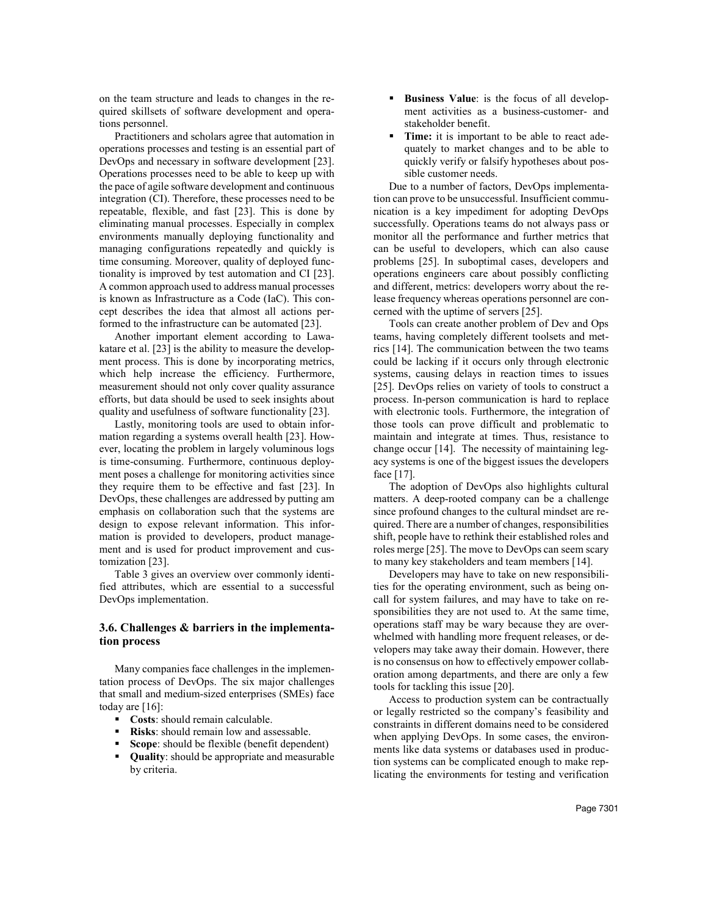on the team structure and leads to changes in the required skillsets of software development and operations personnel.

Practitioners and scholars agree that automation in operations processes and testing is an essential part of DevOps and necessary in software development [23]. Operations processes need to be able to keep up with the pace of agile software development and continuous integration (CI). Therefore, these processes need to be repeatable, flexible, and fast [23]. This is done by eliminating manual processes. Especially in complex environments manually deploying functionality and managing configurations repeatedly and quickly is time consuming. Moreover, quality of deployed functionality is improved by test automation and CI [23]. A common approach used to address manual processes is known as Infrastructure as a Code (IaC). This concept describes the idea that almost all actions performed to the infrastructure can be automated [23].

Another important element according to Lawakatare et al. [23] is the ability to measure the development process. This is done by incorporating metrics, which help increase the efficiency. Furthermore, measurement should not only cover quality assurance efforts, but data should be used to seek insights about quality and usefulness of software functionality [23].

Lastly, monitoring tools are used to obtain information regarding a systems overall health [23]. However, locating the problem in largely voluminous logs is time-consuming. Furthermore, continuous deployment poses a challenge for monitoring activities since they require them to be effective and fast [23]. In DevOps, these challenges are addressed by putting am emphasis on collaboration such that the systems are design to expose relevant information. This information is provided to developers, product management and is used for product improvement and customization [23].

Table 3 gives an overview over commonly identified attributes, which are essential to a successful DevOps implementation.

## **3.6. Challenges & barriers in the implementation process**

Many companies face challenges in the implementation process of DevOps. The six major challenges that small and medium-sized enterprises (SMEs) face today are [16]:

- **Costs**: should remain calculable.
- **Risks**: should remain low and assessable.
- **Scope**: should be flexible (benefit dependent)
- **Quality**: should be appropriate and measurable by criteria.
- **Business Value**: is the focus of all development activities as a business-customer- and stakeholder benefit.
- **Time:** it is important to be able to react adequately to market changes and to be able to quickly verify or falsify hypotheses about possible customer needs.

Due to a number of factors, DevOps implementation can prove to be unsuccessful. Insufficient communication is a key impediment for adopting DevOps successfully. Operations teams do not always pass or monitor all the performance and further metrics that can be useful to developers, which can also cause problems [25]. In suboptimal cases, developers and operations engineers care about possibly conflicting and different, metrics: developers worry about the release frequency whereas operations personnel are concerned with the uptime of servers [25].

Tools can create another problem of Dev and Ops teams, having completely different toolsets and metrics [14]. The communication between the two teams could be lacking if it occurs only through electronic systems, causing delays in reaction times to issues [25]. DevOps relies on variety of tools to construct a process. In-person communication is hard to replace with electronic tools. Furthermore, the integration of those tools can prove difficult and problematic to maintain and integrate at times. Thus, resistance to change occur [14]. The necessity of maintaining legacy systems is one of the biggest issues the developers face [17].

The adoption of DevOps also highlights cultural matters. A deep-rooted company can be a challenge since profound changes to the cultural mindset are required. There are a number of changes, responsibilities shift, people have to rethink their established roles and roles merge [25]. The move to DevOps can seem scary to many key stakeholders and team members [14].

Developers may have to take on new responsibilities for the operating environment, such as being oncall for system failures, and may have to take on responsibilities they are not used to. At the same time, operations staff may be wary because they are overwhelmed with handling more frequent releases, or developers may take away their domain. However, there is no consensus on how to effectively empower collaboration among departments, and there are only a few tools for tackling this issue [20].

Access to production system can be contractually or legally restricted so the company's feasibility and constraints in different domains need to be considered when applying DevOps. In some cases, the environments like data systems or databases used in production systems can be complicated enough to make replicating the environments for testing and verification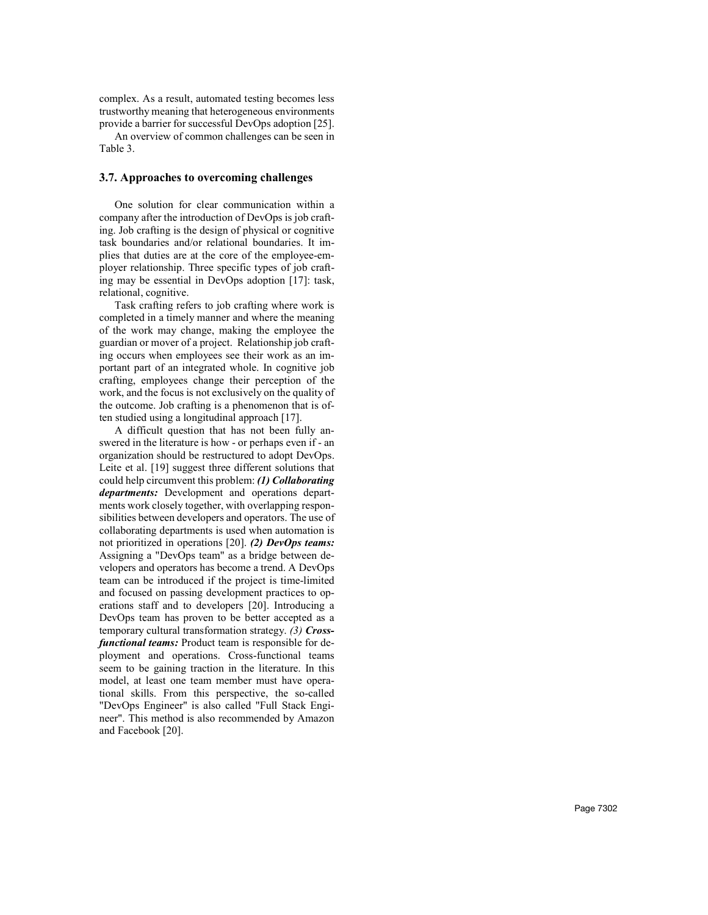complex. As a result, automated testing becomes less trustworthy meaning that heterogeneous environments provide a barrier for successful DevOps adoption [25].

An overview of common challenges can be seen in Table 3.

## **3.7. Approaches to overcoming challenges**

One solution for clear communication within a company after the introduction of DevOps is job crafting. Job crafting is the design of physical or cognitive task boundaries and/or relational boundaries. It implies that duties are at the core of the employee-employer relationship. Three specific types of job crafting may be essential in DevOps adoption [17]: task, relational, cognitive.

Task crafting refers to job crafting where work is completed in a timely manner and where the meaning of the work may change, making the employee the guardian or mover of a project. Relationship job crafting occurs when employees see their work as an important part of an integrated whole. In cognitive job crafting, employees change their perception of the work, and the focus is not exclusively on the quality of the outcome. Job crafting is a phenomenon that is often studied using a longitudinal approach [17].

A difficult question that has not been fully answered in the literature is how - or perhaps even if - an organization should be restructured to adopt DevOps. Leite et al. [19] suggest three different solutions that could help circumvent this problem: *(1) Collaborating departments:* Development and operations departments work closely together, with overlapping responsibilities between developers and operators. The use of collaborating departments is used when automation is not prioritized in operations [20]. *(2) DevOps teams:*  Assigning a "DevOps team" as a bridge between developers and operators has become a trend. A DevOps team can be introduced if the project is time-limited and focused on passing development practices to operations staff and to developers [20]. Introducing a DevOps team has proven to be better accepted as a temporary cultural transformation strategy. *(3) Crossfunctional teams:* Product team is responsible for deployment and operations. Cross-functional teams seem to be gaining traction in the literature. In this model, at least one team member must have operational skills. From this perspective, the so-called "DevOps Engineer" is also called "Full Stack Engineer". This method is also recommended by Amazon and Facebook [20].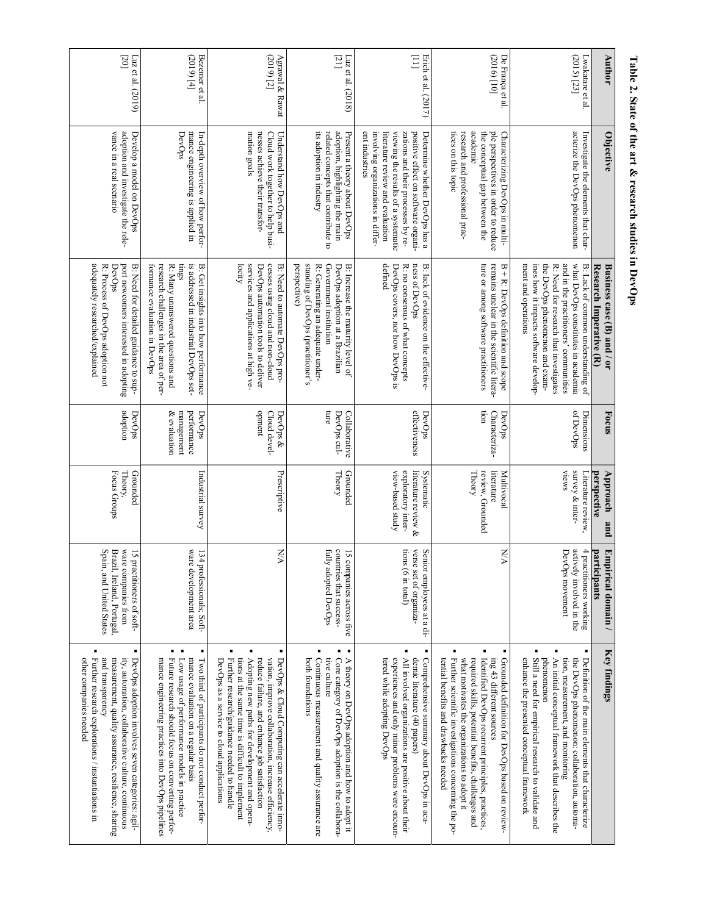|                                 | Table 2. State of the art & research studies in DevOps                                                                                                                                                                                         |                                                                                                                                                                                                                                                                 |                                                     |                                                                             |                                                                                                                |                                                                                                                                                                                                                                                                                                                                                           |
|---------------------------------|------------------------------------------------------------------------------------------------------------------------------------------------------------------------------------------------------------------------------------------------|-----------------------------------------------------------------------------------------------------------------------------------------------------------------------------------------------------------------------------------------------------------------|-----------------------------------------------------|-----------------------------------------------------------------------------|----------------------------------------------------------------------------------------------------------------|-----------------------------------------------------------------------------------------------------------------------------------------------------------------------------------------------------------------------------------------------------------------------------------------------------------------------------------------------------------|
| <b>Author</b>                   | Objective                                                                                                                                                                                                                                      | Research Imperative (R)<br>Business case (B) and / or                                                                                                                                                                                                           | Focus                                               | Approach<br>perspective<br>pug                                              | participants<br>Empirical domain /                                                                             | Key findings                                                                                                                                                                                                                                                                                                                                              |
| (2015) [23]<br>Lwakatare et al. | acterize the DevOps phenomenon<br>Investigate the elements that char-                                                                                                                                                                          | and in the practitioners' communities<br>what DevOps constitutes in academia<br>the DevOps phenomenon and exam-<br>ment and operations<br>ines how it impacts software develop-<br>R: Need for research that investigates<br>B: Lack of common understanding of | of DevOps<br>Dimensions                             | <b>VIEWS</b><br>survey & inter-<br>Literature review,                       | actively involved in the<br>4 practitioners working<br>DevOps movement                                         | ٠<br>٠<br>Still a need for empirical research to validate and<br>An initial conceptual framework that describes the<br>phenomenon<br>enhance the presented conceptual framework<br>tion, measurement, and monitoring<br>the DevOps phenomenon: collaboration, automa-<br>Definition of the main elements that characterize                                |
| [2016] [10]<br>De França et al. | academic<br>ple perspectives in order to reduce<br>tices on this topic<br>research and professional prac-<br>the conceptual gap between the<br>Characterizing DevOps in multi-                                                                 | ture or among software practitioners<br>remains unclear in the scientific litera-<br>$B + R$ : DevOps definition and scope                                                                                                                                      | non<br>Characteriza-<br>DevOps                      | Theory<br>review, Grounded<br>literature<br>Multivocal                      | N/A                                                                                                            | ٠<br>required skills, potential benefits, challenges and<br>Identified DevOps recurrent principles, practices<br>Further scientific investigations concerning the po-<br>what motivates the organizations to adopt it<br>Grounded definition for DevOps based on review-<br>tential benefits and drawbacks needed<br>ing 43 different sources             |
| $\Xi$<br>Erich et al. (2017)    | ent industries<br>involving organizations in differ-<br>literature review and evaluation<br>viewing the results of a systematic<br>zations and their processes by re-<br>Determine whether DevOps has a<br>positive effect on software organi- | defined<br>ness of DevOps<br>DevOps covers, nor how DevOps is<br>R: no consensus of what concepts<br>B: lack of evidence on the effective-                                                                                                                      | effectiveness<br>DevOps                             | view-based study<br>exploratory inter-<br>literature review &<br>Systematic | tions<br>verse<br>Senior employees at a di-<br>$($ a in total $)$<br>set of organiza-                          | ٠<br>٠<br>All involved organizations are positive about their<br>experiences and only minor problems were encoun-<br>demic literature (40 papers)<br>Comprehensive summary about DevOps in aca-<br>tered while adopting DevOps                                                                                                                            |
| $[21]$<br>Luz et al. $(2018)$   | related concepts that contribute to<br>adoption, highlighting the main<br>its adoption in industry<br>Present a theory about DevOps                                                                                                            | standing of DevOps (practitioner's<br>perspective)<br>Government institution<br>R: Generating an adequate under-<br>DevOps adoption at a Brazilian<br>B: Increase the maturity level of                                                                         | cure<br>DevOps cul-<br>Collaborative                | Theory<br>Grounded                                                          | fully adopted DevOps<br>countries that success-<br>15 companies across five                                    | $\blacksquare$<br>٠<br>$\blacksquare$<br>Continuous measurement and quality assurance are<br>tive culture<br>Core category of DevOps adoption is the collabora-<br>A theory on DevOps adoption and how to adopt it<br>both foundations                                                                                                                    |
| Agrawal & Rawat<br>$(2019)$ [2] | nesses achieve their transfor-<br>mation goals<br>Cloud work together to help busi-<br>Understand how DevOps and                                                                                                                               | cesses using cloud and non-cloud<br>locity<br>services and applications at high ve-<br>B: Need to automate DevOps pro-<br>DevOps automation tools to deliver                                                                                                    | opment<br>Cloud devel-<br>DevOps &                  | Prescriptive                                                                | <b>NA</b>                                                                                                      | ٠<br>tions at the same time is difficult to implement<br>Adopting new paths for development and opera-<br>reduce failure, and enhance job satisfaction<br>DevOps & Cloud Computing can accelerate inno-<br>Further research/guidance needed to handle<br>vation, improve collaboration, increase efficiency,<br>DevOps as a service to cloud applications |
| $(2019)$ [4]<br>Bezemer et al.  | mance engineering is applied in<br>In-depth overview of how perfor-<br>DevOps                                                                                                                                                                  | R: Many unanswered questions and<br>is addressed in industrial DevOps set-<br>research challenges in the area of per-<br>tings<br>B: Get insights into how performance<br>formance evaluation in DevOps                                                         | performance<br>& evaluation<br>management<br>DevOps | Industrial survey                                                           | ware<br>134 professionals; Soft-<br>development area                                                           | ٠<br>٠<br>mance evaluation on a regular basis<br>mance engineering practices into DevOps pipelines<br>Future research should focus on converting perfor-<br>Two third of participants do not conduct perfor-<br>Low usage of performance models in practice                                                                                               |
| [02]<br>Luz et al. (2019)       | vance in a real scenario<br>adoption and investigate the rele-<br>Develop a model on DevOps                                                                                                                                                    | adequately researched/explained<br>port newcomers interested in adopting<br>R: Process of DevOps adoption not<br>DevOps<br>B: Need for detailed guidance to sup-                                                                                                | adoption<br>DevOps                                  | Focus Groups<br>Theory,<br>Grounded                                         | Spain, and United States<br>ware o<br>Brazil, Ireland, Portugal,<br>15 practitoners of soft-<br>companies from | ٠<br>Further research explorations / instantiations in<br>other companies needed<br>and transparency<br>measurement, quality assurance, resilience, sharing<br>ity, automation, collaborative culture, continuous<br>DevOps adoption involves seven categories: agil-                                                                                     |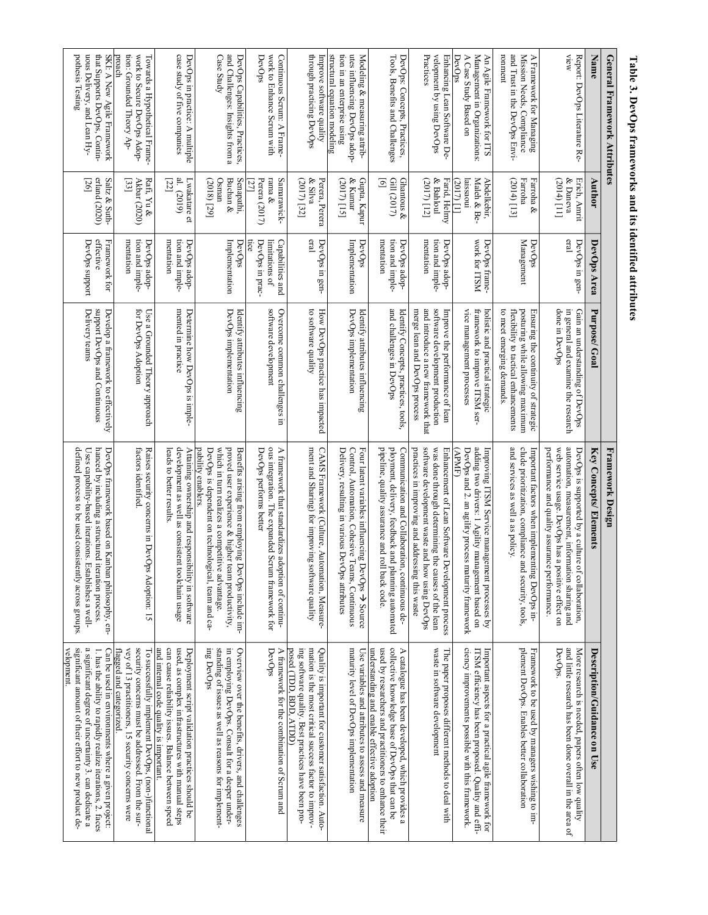| Table 3. DevOps frameworks and its identified attributes                                                                     |                                                                         |                                                      |                                                                                                                                               |                                                                                                                                                                                                                                         |                                                                                                                                                                                                                                                  |
|------------------------------------------------------------------------------------------------------------------------------|-------------------------------------------------------------------------|------------------------------------------------------|-----------------------------------------------------------------------------------------------------------------------------------------------|-----------------------------------------------------------------------------------------------------------------------------------------------------------------------------------------------------------------------------------------|--------------------------------------------------------------------------------------------------------------------------------------------------------------------------------------------------------------------------------------------------|
| General Framework Attributes                                                                                                 |                                                                         |                                                      |                                                                                                                                               | Framework Design                                                                                                                                                                                                                        |                                                                                                                                                                                                                                                  |
| Name                                                                                                                         | Author                                                                  | DevOps Area                                          | Purpose/Goal                                                                                                                                  | Key Concepts/ Elements                                                                                                                                                                                                                  | Description/Guidance on Use                                                                                                                                                                                                                      |
| View<br>Report: DevOps Literature Re-                                                                                        | & Daneva<br>$(2014)$ [11]<br>Erich, Amrit                               | eral<br>DevOps in gen-                               | done in DevOps<br>in general and examine the research<br>Gain an understanding of DevOps                                                      | automation, measurement, information sharing and<br>performance and quality assurance performance.<br>web service usage. DevOps has a<br>DevOps is supported by a culture<br>positive effect on<br>of collaboration,                    | and little research has been done overall in the area of<br>More research is needed, papers often low quality<br>DevOps.                                                                                                                         |
| and Trust in the DevOps Envi-<br>ronment<br>Mission Needs, Compliance<br>A Framework for Managing                            | Farroha &<br>(2014) [13]<br>Farroha                                     | Management<br>DevOps                                 | to meet emerging demands.<br>posturing while allowing maximum<br>Ensuring the continuity of strategic<br>flexibility to tactical enhancements | clude prioritization, compliance and security, tools,<br>and services as well a as policy.<br>Important factors when implementing DevOps in-                                                                                            | plement DevOps. Enables better collaboration<br>Framework to be used by managers wishing to im-                                                                                                                                                  |
| Management in Organizations:<br>DevOps<br>A Case Study Based on<br>An Agile Framework for ITS                                | Maleh & Be-<br>Abdelkebir,<br>2017) [1]<br>aissaoui                     | work for ITSM<br>DevOps frame-                       | vice management processes<br>holistic and practical strategic<br>framework to improve ITSM ser-                                               | adding two drivers: 1 Agility management based on<br>DevOps and 2. an agility process<br>Improving ITSM Service management processes by<br>APME)<br>maturity framework                                                                  | ciency improvements possible with this framework.<br>Important aspects for a practical agile framework for<br>TSM efficiency has been proposed. Quality and effi-                                                                                |
| velopment by using DevOps<br>Practices<br>Enhancing Lean Software De-                                                        | & Bahloul<br>(2017) [12]<br>Farid, Helmy                                | mentation<br>tion and imple-<br>DevOps adop-         | software development production<br>and introduce a new framework that<br>merge lean and DevOps process<br>Improve the performance of lean     | software development waste and how using DevOps<br>practices in improving and addressing this waste<br>was done through determining the causes of the lean<br>Enhancement of Lean Software Development process                          | waste in software development<br>The paper proposes different methods to deal with                                                                                                                                                               |
| Tools, Benefits and Challenges<br>DevOps: Concepts, Practices,                                                               | Gill (2017)<br>Ghantous &<br>$\overline{\mathbf{e}}$                    | mentation<br>tion and imple-<br>DevOps adop-         | and challenges in DevOps<br>Identify Concepts, practices, tools,                                                                              | ployment, delivery, feedback and<br>pipeline, quality assurance and roll back code.<br>Communication and Collaboration, continuous de-<br>planning automated                                                                            | understanding and enable effective adoption<br>used by researchers and practitioners to enhance their<br>collective knowledge base of DevOps that can be<br>A catalogue has been developed, which provides a                                     |
| structural equation modeling<br>tion in an enterprise using<br>utes influencing DevOps adop-<br>Modeling & measuring attrib- | $\&$ Kumar<br>Gupta, Kapur<br>(2017) [15]                               | Implementation<br>DevOps                             | DevOps implementation<br>Identify attributes influencing                                                                                      | Control, Automation, Cohesive Teams, Continuous<br>Four latent variables influencing DevOps $\rightarrow$ Source<br>Delivery, resulting in various DevOps attributes                                                                    | maturity level of DevOps implementation<br>Use variables and attributes to assess and measure                                                                                                                                                    |
| through practicing DevOps<br>Improve software quality                                                                        | & Silva<br>Perera, Perera<br>(2017) [32]                                | eral<br>DevOps in gen-                               | to software quality<br>How DevOps practice has impacted                                                                                       | ment and Sharing) for improving software quality<br>CAMS Framework (Culture, Automation, Measure-                                                                                                                                       | ing software quality. Best practices have been pro-<br>mation is the most critical success factor to improv-<br>posed (TDD, RDD, ATDD)<br>Quality is important for customer satisfaction. Auto-                                                  |
| work to Enhance Scrum with<br>Continuous Scrum: A Frame-<br>DevOps                                                           | Samarawick-<br>rama &<br><u> 27 </u><br>Perera (2017)                   | DevOps in prac-<br>imitations of<br>Capabilities and | software development<br>Overcome common challenges in                                                                                         | ous integration. The expanded Scrum framework for<br>A framework that standardizes adoption of continu-<br>DevOps performs better                                                                                                       | A framework for the combination of Scrum and<br>DevOps                                                                                                                                                                                           |
| and Challenges: Insights from a<br>DevOps Capabilities, Practices,<br>Case Study                                             | Buchan &<br>Senapathi,<br>(2018) [29]<br>Osman                          | Implementation<br>DevOps                             | DevOps implementation<br>Identify attributes influencing                                                                                      | proved user experience & higher team productivity,<br>which in turn realizes a competitive advantage.<br>pability enablers.<br>DevOps is dependent on technological, team and ca-<br>Benefits arising from employing DevOps include im- | ing DevOps<br>standing of issues as well as reasons for implement-<br>in employing DevOps. Consult for a deeper under-<br>Overview over the benefits, drivers, and challenges                                                                    |
| case study of five companies<br>DevOps in practice: A multiple                                                               | Lwakatare et<br>al. (2019)<br>[22]                                      | tion and imple-<br>DevOps adop-<br>mentation         | mented in practice<br>Determine how DevOps is imple-                                                                                          | development as well as consistent<br>Attaining ownership and responsi<br>leads to better results.<br>bility in software<br>toolchain usage                                                                                              | and internal code quality is important.<br>can cause reliability issues. Balance between speed<br>used, as complex infrastructures with manual steps<br>Deployment script validation practices should be                                         |
| tion: Grounded Theory Ap-<br>work to Secure DevOps Adop-<br>proach<br>Towards a Hypothetical Frame-                          | $\operatorname{Raf}, \operatorname{Yu} \&$<br>$^{[33]}$<br>Akbar (2020) | tion and imple-<br>mentation<br>DevOps adop-         | for DevOps Adoption<br>Use a Grounded Theory approach                                                                                         | Raises security concerns in DevO<br>factors identified<br>ps Adoption: 15                                                                                                                                                               | security concerns must be addressed. From the sur-<br>vey of 13 practitioners, 15 security concerns were<br>To successfully implement DevOps, (non-)functional<br>flagged and categorized.                                                       |
| uous Delivery, and Lean Hy-<br>that Supports DevOps, Contin-<br>pothesis Testing<br>SKI: A New Agile Framework               | erland (2020)<br>[26]<br>Saltz & Suth-                                  | effective<br>Framework for<br>DevOps support         | support DevOps and Continuous<br>Delivery teams<br>Develop a framework to effectively                                                         | defined process to be used consistently across groups.<br>hanced by including a structured iteration process.<br>DevOps framework based on Kanban philosophy, en-<br>Uses capability-based iterations. Establishes a well-              | velopment.<br>significant amount of their effort to new product de-<br>a significant degree of uncertainty 3. can dedicate a<br>1. has the ability to rapidly realize iterations, 2. faces<br>Can be used in environments where a given project: |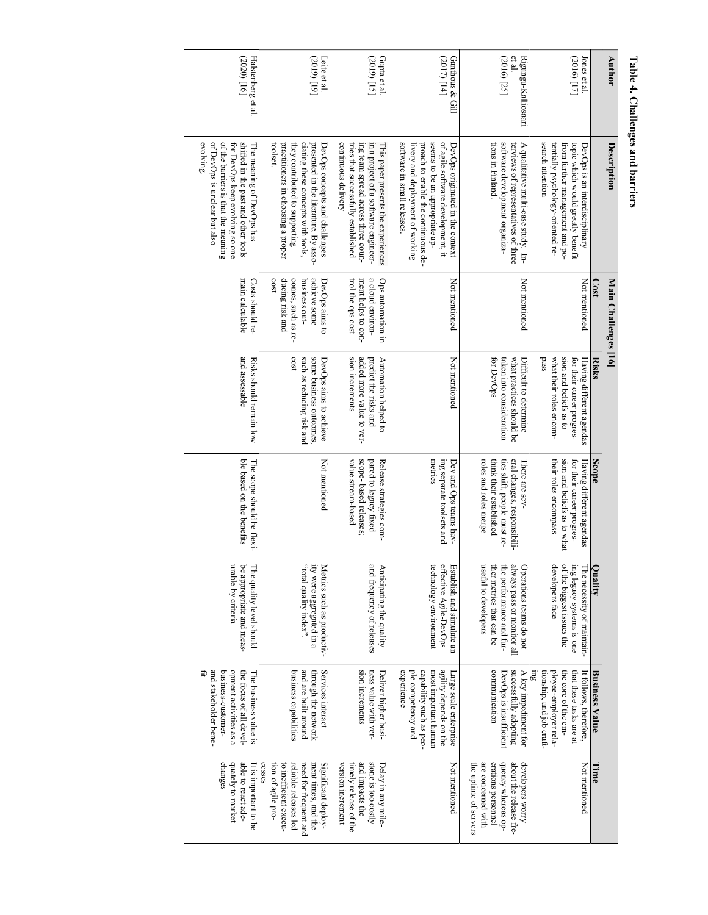| <b>Author</b>                               | Description                                                                                                                                                                                                       | Main Challenges [16]                                                                             |                                                                                                                    |                                                                                                                                  |                                                                                                                                       |                                                                                                                                         |                                                                                                                                                       |
|---------------------------------------------|-------------------------------------------------------------------------------------------------------------------------------------------------------------------------------------------------------------------|--------------------------------------------------------------------------------------------------|--------------------------------------------------------------------------------------------------------------------|----------------------------------------------------------------------------------------------------------------------------------|---------------------------------------------------------------------------------------------------------------------------------------|-----------------------------------------------------------------------------------------------------------------------------------------|-------------------------------------------------------------------------------------------------------------------------------------------------------|
|                                             |                                                                                                                                                                                                                   | $\frac{1}{2}$                                                                                    | <b>Risks</b>                                                                                                       | Scope                                                                                                                            | $\overline{\bullet}$<br>Anglity                                                                                                       | <b>Business Value</b>                                                                                                                   | <b>Lime</b>                                                                                                                                           |
| (2016) [17]<br>Jones et al.                 | search attention<br>tentially psychology-oriented re-<br>topic which would greatly benefit<br>from further management and po-<br>DevOps is an interdisciplinary                                                   | Not mentioned                                                                                    | pass<br>what their roles encom-<br>sion and beliefs as to<br>for their career progres-<br>Having different agendas | their roles encompass<br>sion and beliefs as to what<br>for their career progres-<br>Having different agendas                    | of the biggest issues the<br>developers face<br>ing legacy systems is one<br>The necessity of maintain-                               | ployee-employer rela-<br>tionship, and job craft-<br>the core of the em-<br>that these tasks are at<br>It follows, therefore,           | Not mentioned                                                                                                                                         |
| et al<br>(2016) [25]<br>Rigungu-Kalliosaari | software development organiza-<br>tions in Finland.<br>A qualitative multi-case study. In-<br>terviews of representatives of three                                                                                | Not mentioned                                                                                    | for DevOps<br>taken into consideration<br>what practices should be<br>Difficult to determine                       | roles and roles merge<br>think their established<br>eral changes, responsibili-<br>ties shift, people must re-<br>There are sev- | useful to developers<br>the performance and fur-<br>ther metrics that can be<br>always pass or monitor all<br>Operations teams do not | communication<br>successfully adopting<br>DevOps is insufficient<br>A key impediment for                                                | are concerned with<br>erations personnel<br>dorency whereas op-<br>the uptime of servers<br>about the release fre-<br>developers worry                |
| Ganthous & Gill<br>(2017) [14]              | seems to be an appropriate ap-<br>of agile software development, it<br>software in small releases.<br>proach to enable the continuous de-<br>DevOps originated in the context<br>livery and deployment of working | Not mentioned                                                                                    | Not mentioned                                                                                                      | metrics<br>ing separate toolsets and<br>Dev and Ops teams hav-                                                                   | effective Agile-DevOps<br>technology environment<br>Establish and simulate an                                                         | experience<br>ple competency and<br>capability such as peo-<br>most important human<br>agility depends on the<br>Large scale enterprise | Not mentioned                                                                                                                                         |
| Gupta et al.<br>(2019) [15]                 | continuous delivery<br>tries that successfully established<br>ing team spread across three coun-<br>in a project of a software engineer-<br>This paper presents the experiences                                   | a cloud environ-<br>ment helps to con-<br>Ops automation in<br>trol the ops cost                 | added more value to ver-<br>sion increments<br>predict the risks and<br>Automation helped to                       | scope-based releases;<br>pared to legacy fixed<br>value stream-based<br>Release strategies com-                                  | and frequency of releases<br>Anticipating the quality                                                                                 | sion increments<br>ness value with ver-<br>Deliver higher busi-                                                                         | stone is too costly<br>and impacts the<br>version increment<br>timely release of the<br>Delay in any mile-                                            |
| $[61]$ $(610)$<br>Lette et al.              | ciating these concepts with tools,<br>practitoners in choosing a proper<br>they contributed to supporting<br>presented in the literature. By asso-<br>toolset<br>DevOps concepts and challenges                   | cost<br>ducing risk and<br>comes, such as re-<br>achieve some<br>business out-<br>DevOps aims to | cost<br>such as reducing risk and<br>some business outcomes,<br>DevOps aims to achieve                             | Not mentioned                                                                                                                    | ity were aggregated in a<br>"total quality index".<br>Metrics such as productiv-                                                      | and are built around<br>through the network<br>Services interact<br>business capabilities                                               | cesses<br>reliable releases led<br>ment times, and the<br>tion of agile pro-<br>to inefficient execu-<br>need for frequent and<br>Significant deploy- |
| (2020)[16]<br>Halstenberg et al.            | of the barriers is that the meaning<br>evolving.<br>of DevOps is unclear but also<br>shifted in the past and other tools<br>for DevOps keep evolving so one<br>The meaning of DevOps has                          | main calculable<br>Costs should re-                                                              | and assessable<br>Risks should remain low                                                                          | ble based on the benefits<br>The scope should be flexi-                                                                          | urable by criteria<br>be appropriate and meas-<br>The quality level should                                                            | and stakeholder bene-<br>opment activities as a<br>Ët<br>business-customer-<br>the focus of all devel-<br>The business value is         | quately to market<br>able to react ade-<br>changes<br>It is important to be                                                                           |

# Table 4. Challenges and barriers **Table 4. Challenges and barriers**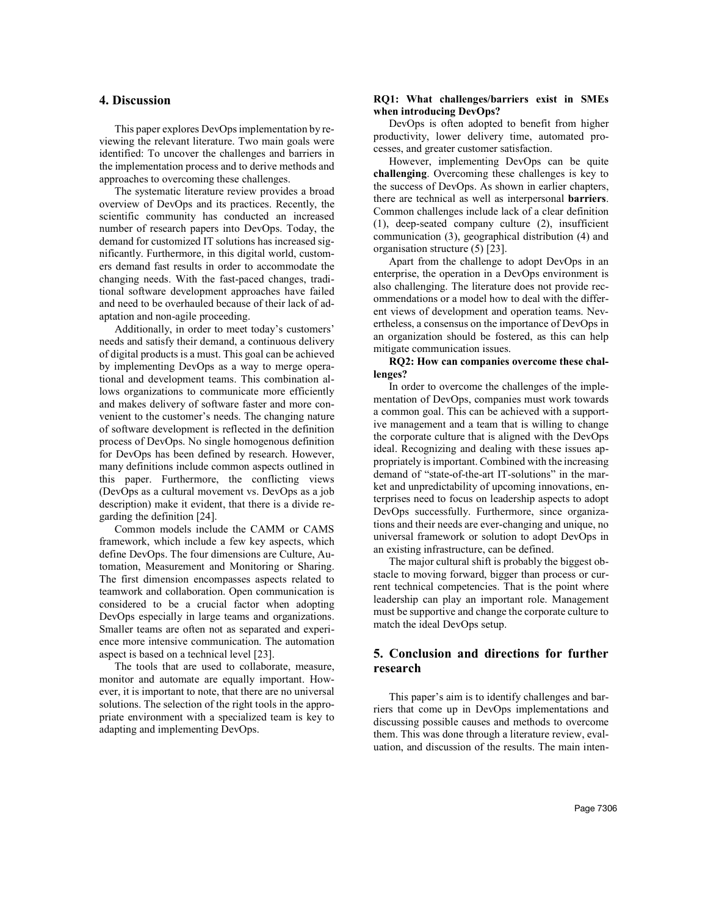## **4. Discussion**

This paper explores DevOps implementation by reviewing the relevant literature. Two main goals were identified: To uncover the challenges and barriers in the implementation process and to derive methods and approaches to overcoming these challenges.

The systematic literature review provides a broad overview of DevOps and its practices. Recently, the scientific community has conducted an increased number of research papers into DevOps. Today, the demand for customized IT solutions has increased significantly. Furthermore, in this digital world, customers demand fast results in order to accommodate the changing needs. With the fast-paced changes, traditional software development approaches have failed and need to be overhauled because of their lack of adaptation and non-agile proceeding.

Additionally, in order to meet today's customers' needs and satisfy their demand, a continuous delivery of digital products is a must. This goal can be achieved by implementing DevOps as a way to merge operational and development teams. This combination allows organizations to communicate more efficiently and makes delivery of software faster and more convenient to the customer's needs. The changing nature of software development is reflected in the definition process of DevOps. No single homogenous definition for DevOps has been defined by research. However, many definitions include common aspects outlined in this paper. Furthermore, the conflicting views (DevOps as a cultural movement vs. DevOps as a job description) make it evident, that there is a divide regarding the definition [24].

Common models include the CAMM or CAMS framework, which include a few key aspects, which define DevOps. The four dimensions are Culture, Automation, Measurement and Monitoring or Sharing. The first dimension encompasses aspects related to teamwork and collaboration. Open communication is considered to be a crucial factor when adopting DevOps especially in large teams and organizations. Smaller teams are often not as separated and experience more intensive communication. The automation aspect is based on a technical level [23].

The tools that are used to collaborate, measure, monitor and automate are equally important. However, it is important to note, that there are no universal solutions. The selection of the right tools in the appropriate environment with a specialized team is key to adapting and implementing DevOps.

#### **RQ1: What challenges/barriers exist in SMEs when introducing DevOps?**

DevOps is often adopted to benefit from higher productivity, lower delivery time, automated processes, and greater customer satisfaction.

However, implementing DevOps can be quite **challenging**. Overcoming these challenges is key to the success of DevOps. As shown in earlier chapters, there are technical as well as interpersonal **barriers**. Common challenges include lack of a clear definition (1), deep-seated company culture (2), insufficient communication (3), geographical distribution (4) and organisation structure (5) [23].

Apart from the challenge to adopt DevOps in an enterprise, the operation in a DevOps environment is also challenging. The literature does not provide recommendations or a model how to deal with the different views of development and operation teams. Nevertheless, a consensus on the importance of DevOps in an organization should be fostered, as this can help mitigate communication issues.

#### **RQ2: How can companies overcome these challenges?**

In order to overcome the challenges of the implementation of DevOps, companies must work towards a common goal. This can be achieved with a supportive management and a team that is willing to change the corporate culture that is aligned with the DevOps ideal. Recognizing and dealing with these issues appropriately is important. Combined with the increasing demand of "state-of-the-art IT-solutions" in the market and unpredictability of upcoming innovations, enterprises need to focus on leadership aspects to adopt DevOps successfully. Furthermore, since organizations and their needs are ever-changing and unique, no universal framework or solution to adopt DevOps in an existing infrastructure, can be defined.

The major cultural shift is probably the biggest obstacle to moving forward, bigger than process or current technical competencies. That is the point where leadership can play an important role. Management must be supportive and change the corporate culture to match the ideal DevOps setup.

# **5. Conclusion and directions for further research**

This paper's aim is to identify challenges and barriers that come up in DevOps implementations and discussing possible causes and methods to overcome them. This was done through a literature review, evaluation, and discussion of the results. The main inten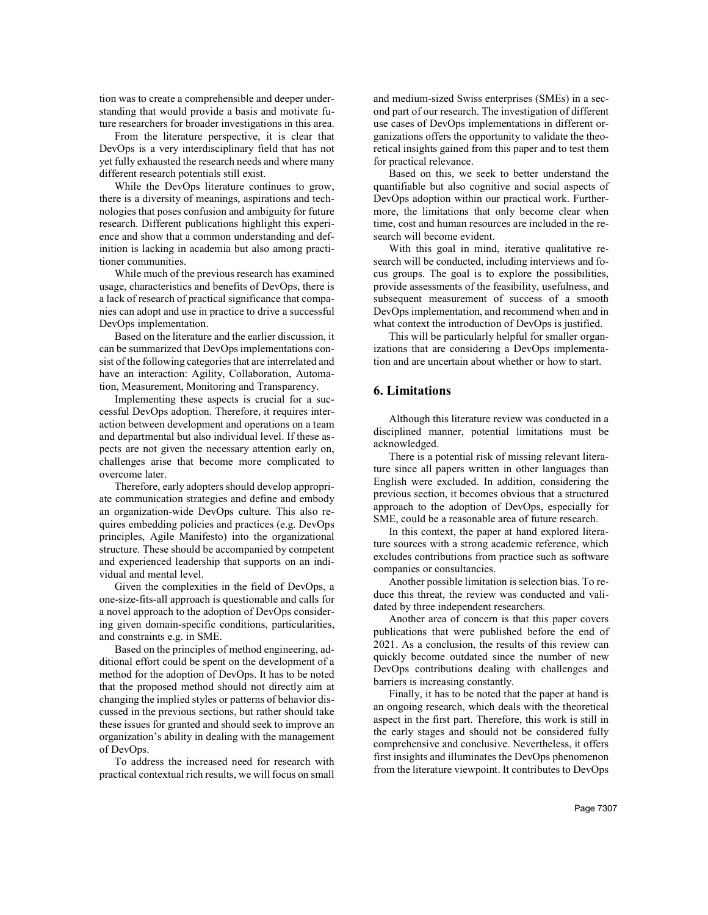tion was to create a comprehensible and deeper understanding that would provide a basis and motivate future researchers for broader investigations in this area.

From the literature perspective, it is clear that DevOps is a very interdisciplinary field that has not yet fully exhausted the research needs and where many different research potentials still exist.

While the DevOps literature continues to grow, there is a diversity of meanings, aspirations and technologies that poses confusion and ambiguity for future research. Different publications highlight this experience and show that a common understanding and definition is lacking in academia but also among practitioner communities.

While much of the previous research has examined usage, characteristics and benefits of DevOps, there is a lack of research of practical significance that companies can adopt and use in practice to drive a successful DevOps implementation.

Based on the literature and the earlier discussion, it can be summarized that DevOps implementations consist of the following categories that are interrelated and have an interaction: Agility, Collaboration, Automation, Measurement, Monitoring and Transparency.

Implementing these aspects is crucial for a successful DevOps adoption. Therefore, it requires interaction between development and operations on a team and departmental but also individual level. If these aspects are not given the necessary attention early on, challenges arise that become more complicated to overcome later.

Therefore, early adopters should develop appropriate communication strategies and define and embody an organization-wide DevOps culture. This also requires embedding policies and practices (e.g. DevOps principles, Agile Manifesto) into the organizational structure. These should be accompanied by competent and experienced leadership that supports on an individual and mental level.

Given the complexities in the field of DevOps, a one-size-fits-all approach is questionable and calls for a novel approach to the adoption of DevOps considering given domain-specific conditions, particularities, and constraints e.g. in SME.

Based on the principles of method engineering, additional effort could be spent on the development of a method for the adoption of DevOps. It has to be noted that the proposed method should not directly aim at changing the implied styles or patterns of behavior discussed in the previous sections, but rather should take these issues for granted and should seek to improve an organization's ability in dealing with the management of DevOps.

To address the increased need for research with practical contextual rich results, we will focus on small and medium-sized Swiss enterprises (SMEs) in a second part of our research. The investigation of different use cases of DevOps implementations in different organizations offers the opportunity to validate the theoretical insights gained from this paper and to test them for practical relevance.

Based on this, we seek to better understand the quantifiable but also cognitive and social aspects of DevOps adoption within our practical work. Furthermore, the limitations that only become clear when time, cost and human resources are included in the research will become evident.

With this goal in mind, iterative qualitative research will be conducted, including interviews and focus groups. The goal is to explore the possibilities, provide assessments of the feasibility, usefulness, and subsequent measurement of success of a smooth DevOps implementation, and recommend when and in what context the introduction of DevOps is justified.

This will be particularly helpful for smaller organizations that are considering a DevOps implementation and are uncertain about whether or how to start.

## **6. Limitations**

Although this literature review was conducted in a disciplined manner, potential limitations must be acknowledged.

There is a potential risk of missing relevant literature since all papers written in other languages than English were excluded. In addition, considering the previous section, it becomes obvious that a structured approach to the adoption of DevOps, especially for SME, could be a reasonable area of future research.

In this context, the paper at hand explored literature sources with a strong academic reference, which excludes contributions from practice such as software companies or consultancies.

Another possible limitation is selection bias. To reduce this threat, the review was conducted and validated by three independent researchers.

Another area of concern is that this paper covers publications that were published before the end of 2021. As a conclusion, the results of this review can quickly become outdated since the number of new DevOps contributions dealing with challenges and barriers is increasing constantly.

Finally, it has to be noted that the paper at hand is an ongoing research, which deals with the theoretical aspect in the first part. Therefore, this work is still in the early stages and should not be considered fully comprehensive and conclusive. Nevertheless, it offers first insights and illuminates the DevOps phenomenon from the literature viewpoint. It contributes to DevOps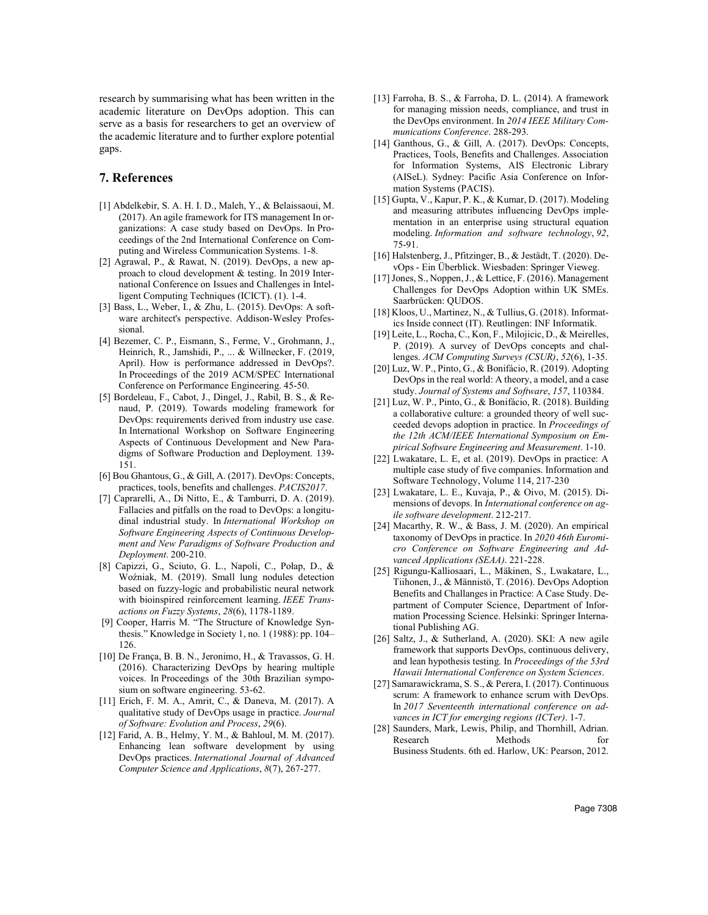research by summarising what has been written in the academic literature on DevOps adoption. This can serve as a basis for researchers to get an overview of the academic literature and to further explore potential gaps.

## **7. References**

- [1] Abdelkebir, S. A. H. I. D., Maleh, Y., & Belaissaoui, M. (2017). An agile framework for ITS management In organizations: A case study based on DevOps. In Proceedings of the 2nd International Conference on Computing and Wireless Communication Systems. 1-8.
- [2] Agrawal, P., & Rawat, N. (2019). DevOps, a new approach to cloud development & testing. In 2019 International Conference on Issues and Challenges in Intelligent Computing Techniques (ICICT). (1). 1-4.
- [3] Bass, L., Weber, I., & Zhu, L. (2015). DevOps: A software architect's perspective. Addison-Wesley Professional.
- [4] Bezemer, C. P., Eismann, S., Ferme, V., Grohmann, J., Heinrich, R., Jamshidi, P., ... & Willnecker, F. (2019, April). How is performance addressed in DevOps?. In Proceedings of the 2019 ACM/SPEC International Conference on Performance Engineering. 45-50.
- [5] Bordeleau, F., Cabot, J., Dingel, J., Rabil, B. S., & Renaud, P. (2019). Towards modeling framework for DevOps: requirements derived from industry use case. In International Workshop on Software Engineering Aspects of Continuous Development and New Paradigms of Software Production and Deployment. 139- 151.
- [6] Bou Ghantous, G., & Gill, A. (2017). DevOps: Concepts, practices, tools, benefits and challenges. *PACIS2017*.
- [7] Caprarelli, A., Di Nitto, E., & Tamburri, D. A. (2019). Fallacies and pitfalls on the road to DevOps: a longitudinal industrial study. In *International Workshop on Software Engineering Aspects of Continuous Development and New Paradigms of Software Production and Deployment*. 200-210.
- [8] Capizzi, G., Sciuto, G. L., Napoli, C., Połap, D., & Woźniak, M. (2019). Small lung nodules detection based on fuzzy-logic and probabilistic neural network with bioinspired reinforcement learning. *IEEE Transactions on Fuzzy Systems*, *28*(6), 1178-1189.
- [9] Cooper, Harris M. "The Structure of Knowledge Synthesis." Knowledge in Society 1, no. 1 (1988): pp. 104– 126.
- [10] De França, B. B. N., Jeronimo, H., & Travassos, G. H. (2016). Characterizing DevOps by hearing multiple voices. In Proceedings of the 30th Brazilian symposium on software engineering. 53-62.
- [11] Erich, F. M. A., Amrit, C., & Daneva, M. (2017). A qualitative study of DevOps usage in practice. *Journal of Software: Evolution and Process*, *29*(6).
- [12] Farid, A. B., Helmy, Y. M., & Bahloul, M. M. (2017). Enhancing lean software development by using DevOps practices. *International Journal of Advanced Computer Science and Applications*, *8*(7), 267-277.
- [13] Farroha, B. S., & Farroha, D. L. (2014). A framework for managing mission needs, compliance, and trust in the DevOps environment. In *2014 IEEE Military Communications Conference*. 288-293.
- [14] Ganthous, G., & Gill, A. (2017). DevOps: Concepts, Practices, Tools, Benefits and Challenges. Association for Information Systems, AIS Electronic Library (AISeL). Sydney: Pacific Asia Conference on Information Systems (PACIS).
- [15] Gupta, V., Kapur, P. K., & Kumar, D. (2017). Modeling and measuring attributes influencing DevOps implementation in an enterprise using structural equation modeling. *Information and software technology*, *92*, 75-91.
- [16] Halstenberg, J., Pfitzinger, B., & Jestädt, T. (2020). DevOps - Ein Überblick. Wiesbaden: Springer Vieweg.
- [17] Jones, S., Noppen, J., & Lettice, F. (2016). Management Challenges for DevOps Adoption within UK SMEs. Saarbrücken: QUDOS.
- [18] Kloos, U., Martinez, N., & Tullius, G. (2018). Informatics Inside connect (IT). Reutlingen: INF Informatik.
- [19] Leite, L., Rocha, C., Kon, F., Milojicic, D., & Meirelles, P. (2019). A survey of DevOps concepts and challenges. *ACM Computing Surveys (CSUR)*, *52*(6), 1-35.
- [20] Luz, W. P., Pinto, G., & Bonifácio, R. (2019). Adopting DevOps in the real world: A theory, a model, and a case study. *Journal of Systems and Software*, *157*, 110384.
- [21] Luz, W. P., Pinto, G., & Bonifácio, R. (2018). Building a collaborative culture: a grounded theory of well succeeded devops adoption in practice. In *Proceedings of the 12th ACM/IEEE International Symposium on Empirical Software Engineering and Measurement*. 1-10.
- [22] Lwakatare, L. E, et al. (2019). DevOps in practice: A multiple case study of five companies. Information and Software Technology, Volume 114, 217-230
- [23] Lwakatare, L. E., Kuvaja, P., & Oivo, M. (2015). Dimensions of devops. In *International conference on agile software development*. 212-217.
- [24] Macarthy, R. W., & Bass, J. M. (2020). An empirical taxonomy of DevOps in practice. In *2020 46th Euromicro Conference on Software Engineering and Advanced Applications (SEAA)*. 221-228.
- [25] Rigungu-Kalliosaari, L., Mäkinen, S., Lwakatare, L., Tiihonen, J., & Männistö, T. (2016). DevOps Adoption Benefits and Challanges in Practice: A Case Study. Department of Computer Science, Department of Information Processing Science. Helsinki: Springer International Publishing AG.
- [26] Saltz, J., & Sutherland, A. (2020). SKI: A new agile framework that supports DevOps, continuous delivery, and lean hypothesis testing. In *Proceedings of the 53rd Hawaii International Conference on System Sciences*.
- [27] Samarawickrama, S. S., & Perera, I. (2017). Continuous scrum: A framework to enhance scrum with DevOps. In *2017 Seventeenth international conference on advances in ICT for emerging regions (ICTer)*. 1-7.
- [28] Saunders, Mark, Lewis, Philip, and Thornhill, Adrian. Research Methods for Business Students. 6th ed. Harlow, UK: Pearson, 2012.